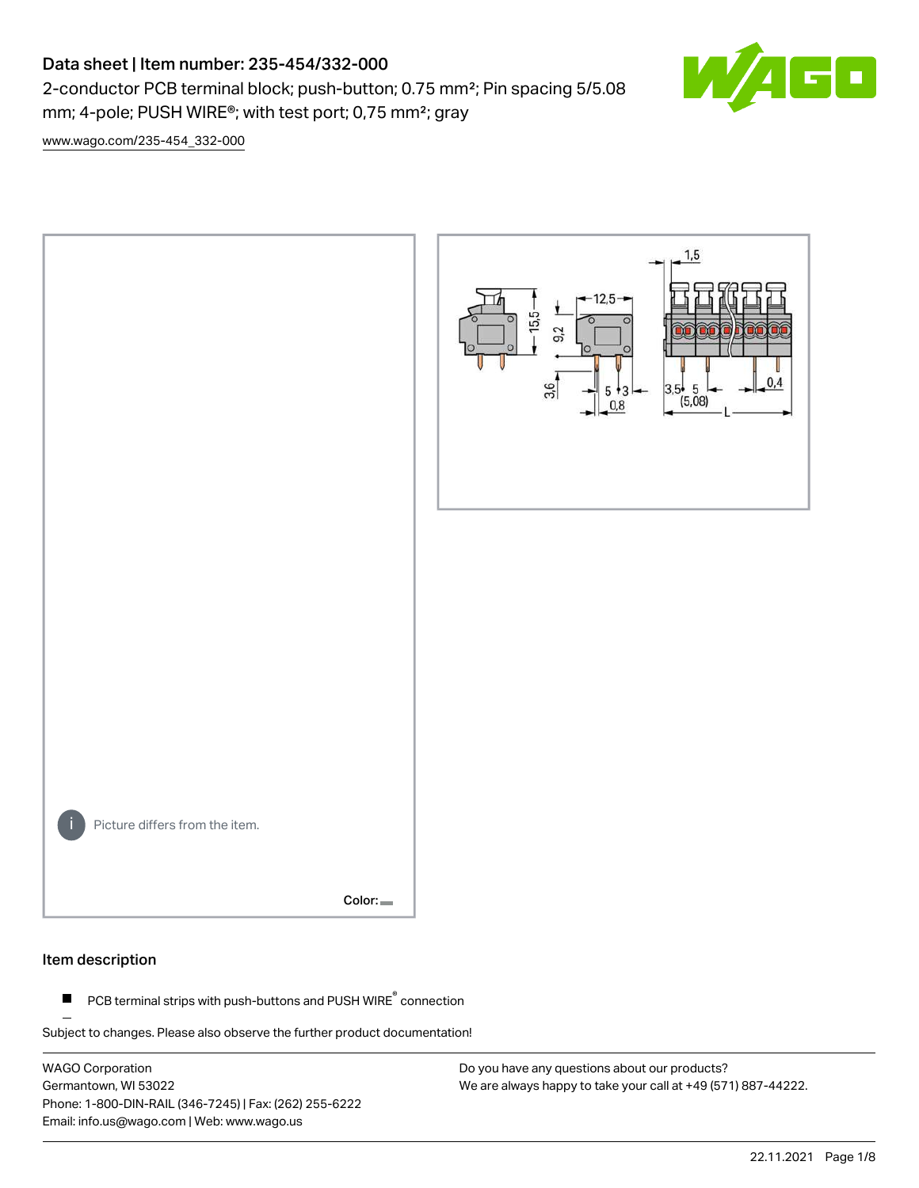# Data sheet | Item number: 235-454/332-000

2-conductor PCB terminal block; push-button; 0.75 mm²; Pin spacing 5/5.08 mm; 4-pole; PUSH WIRE®; with test port; 0,75 mm²; gray



[www.wago.com/235-454\\_332-000](http://www.wago.com/235-454_332-000)



#### Item description

PCB terminal strips with push-buttons and PUSH WIRE<sup>®</sup> connection  $\blacksquare$ 

Subject to changes. Please also observe the further product documentation!

WAGO Corporation Germantown, WI 53022 Phone: 1-800-DIN-RAIL (346-7245) | Fax: (262) 255-6222 Email: info.us@wago.com | Web: www.wago.us

Do you have any questions about our products? We are always happy to take your call at +49 (571) 887-44222.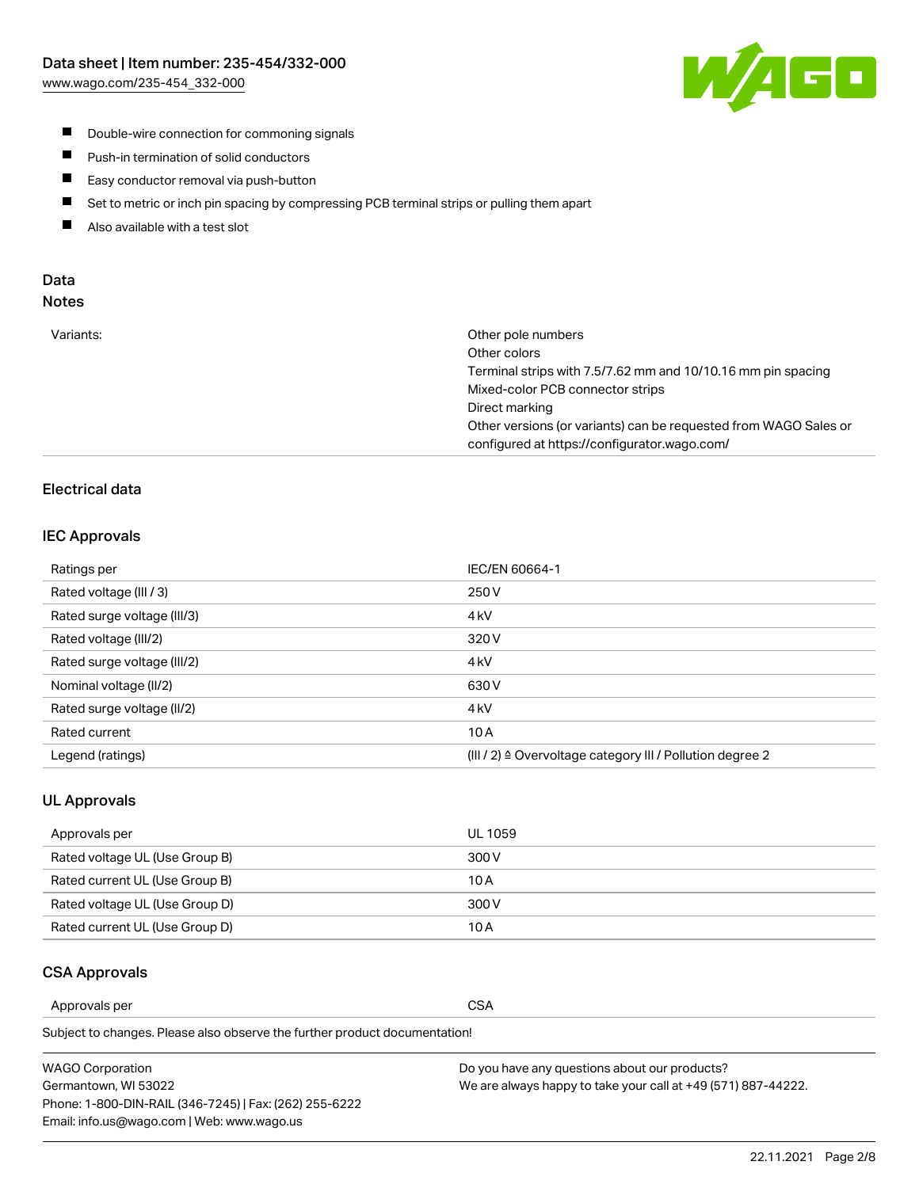

- **Double-wire connection for commoning signals**
- $\blacksquare$ Push-in termination of solid conductors
- Easy conductor removal via push-button  $\blacksquare$
- $\blacksquare$ Set to metric or inch pin spacing by compressing PCB terminal strips or pulling them apart
- $\blacksquare$ Also available with a test slot

#### Data Notes

| Variants: | Other pole numbers                                               |
|-----------|------------------------------------------------------------------|
|           | Other colors                                                     |
|           | Terminal strips with 7.5/7.62 mm and 10/10.16 mm pin spacing     |
|           | Mixed-color PCB connector strips                                 |
|           | Direct marking                                                   |
|           | Other versions (or variants) can be requested from WAGO Sales or |
|           | configured at https://configurator.wago.com/                     |
|           |                                                                  |

# Electrical data

#### IEC Approvals

| Ratings per                 | IEC/EN 60664-1                                                        |
|-----------------------------|-----------------------------------------------------------------------|
| Rated voltage (III / 3)     | 250 V                                                                 |
| Rated surge voltage (III/3) | 4 <sub>k</sub> V                                                      |
| Rated voltage (III/2)       | 320 V                                                                 |
| Rated surge voltage (III/2) | 4 <sub>kV</sub>                                                       |
| Nominal voltage (II/2)      | 630 V                                                                 |
| Rated surge voltage (II/2)  | 4 <sub>k</sub> V                                                      |
| Rated current               | 10A                                                                   |
| Legend (ratings)            | $(III / 2)$ $\triangle$ Overvoltage category III / Pollution degree 2 |

#### UL Approvals

| Approvals per                  | UL 1059 |
|--------------------------------|---------|
| Rated voltage UL (Use Group B) | 300 V   |
| Rated current UL (Use Group B) | 10 A    |
| Rated voltage UL (Use Group D) | 300 V   |
| Rated current UL (Use Group D) | 10 A    |

#### CSA Approvals

Approvals per CSA

Subject to changes. Please also observe the further product documentation!

| <b>WAGO Corporation</b>                                | Do you have any questions about our products?                 |
|--------------------------------------------------------|---------------------------------------------------------------|
| Germantown, WI 53022                                   | We are always happy to take your call at +49 (571) 887-44222. |
| Phone: 1-800-DIN-RAIL (346-7245)   Fax: (262) 255-6222 |                                                               |
| Email: info.us@wago.com   Web: www.wago.us             |                                                               |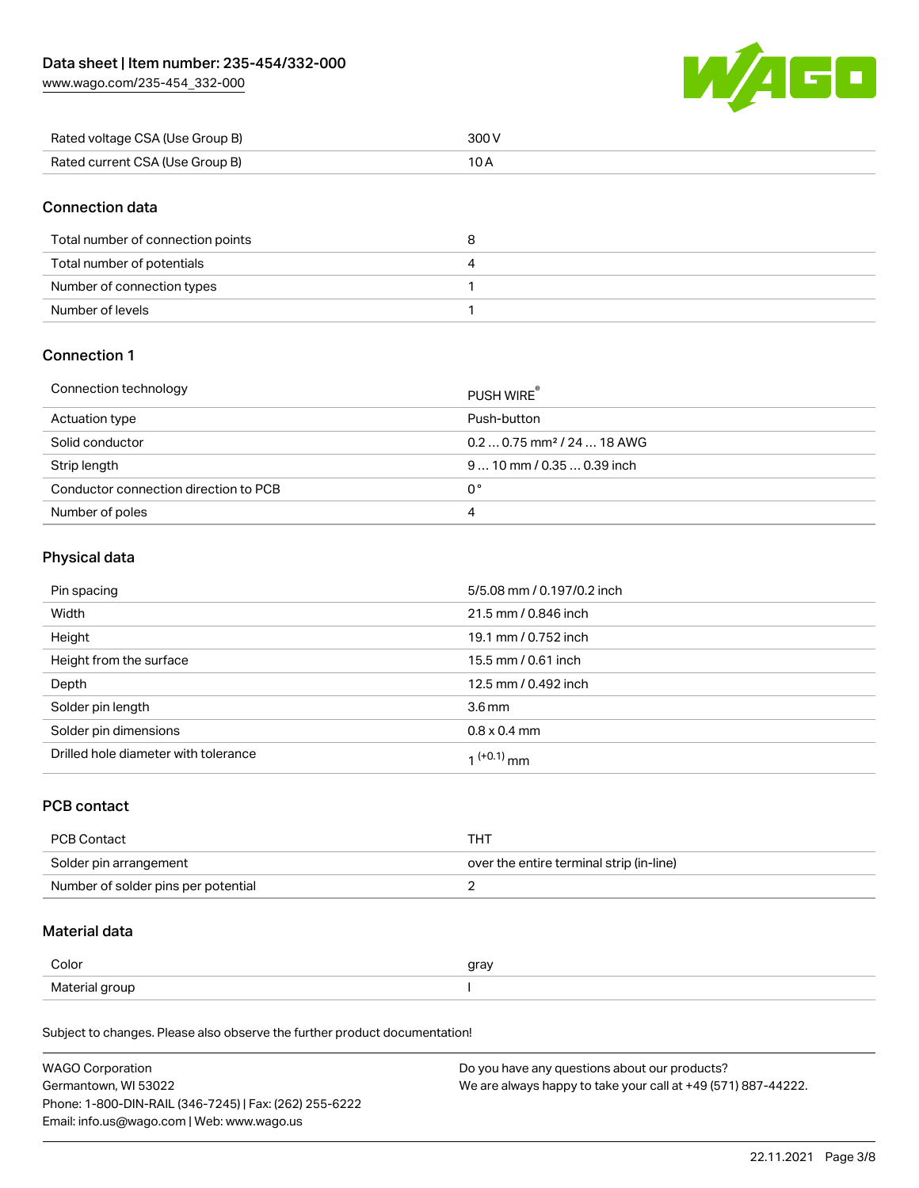[www.wago.com/235-454\\_332-000](http://www.wago.com/235-454_332-000)



| Rated voltage CSA (Use Group B) |  |
|---------------------------------|--|
| Rated current CSA (Use Group B) |  |

### Connection data

| Total number of connection points |  |
|-----------------------------------|--|
| Total number of potentials        |  |
| Number of connection types        |  |
| Number of levels                  |  |

# Connection 1

| Connection technology                 | PUSH WIRE <sup>®</sup>                 |
|---------------------------------------|----------------------------------------|
| Actuation type                        | Push-button                            |
| Solid conductor                       | $0.20.75$ mm <sup>2</sup> / 24  18 AWG |
| Strip length                          | $910$ mm $/0.350.39$ inch              |
| Conductor connection direction to PCB | 0°                                     |
| Number of poles                       | 4                                      |

# Physical data

| Pin spacing                          | 5/5.08 mm / 0.197/0.2 inch |
|--------------------------------------|----------------------------|
| Width                                | 21.5 mm / 0.846 inch       |
| Height                               | 19.1 mm / 0.752 inch       |
| Height from the surface              | 15.5 mm / 0.61 inch        |
| Depth                                | 12.5 mm / 0.492 inch       |
| Solder pin length                    | 3.6 <sub>mm</sub>          |
| Solder pin dimensions                | $0.8 \times 0.4$ mm        |
| Drilled hole diameter with tolerance | $(1+0.1)$ mm               |

### PCB contact

| <b>PCB Contact</b>                  | тнт                                      |
|-------------------------------------|------------------------------------------|
| Solder pin arrangement              | over the entire terminal strip (in-line) |
| Number of solder pins per potential |                                          |

# Material data

| Color                        | gray |
|------------------------------|------|
| Materia<br>arour<br>$\cdots$ |      |

Subject to changes. Please also observe the further product documentation!

| <b>WAGO Corporation</b>                                | Do you have any questions about our products?                 |
|--------------------------------------------------------|---------------------------------------------------------------|
| Germantown, WI 53022                                   | We are always happy to take your call at +49 (571) 887-44222. |
| Phone: 1-800-DIN-RAIL (346-7245)   Fax: (262) 255-6222 |                                                               |
| Email: info.us@wago.com   Web: www.wago.us             |                                                               |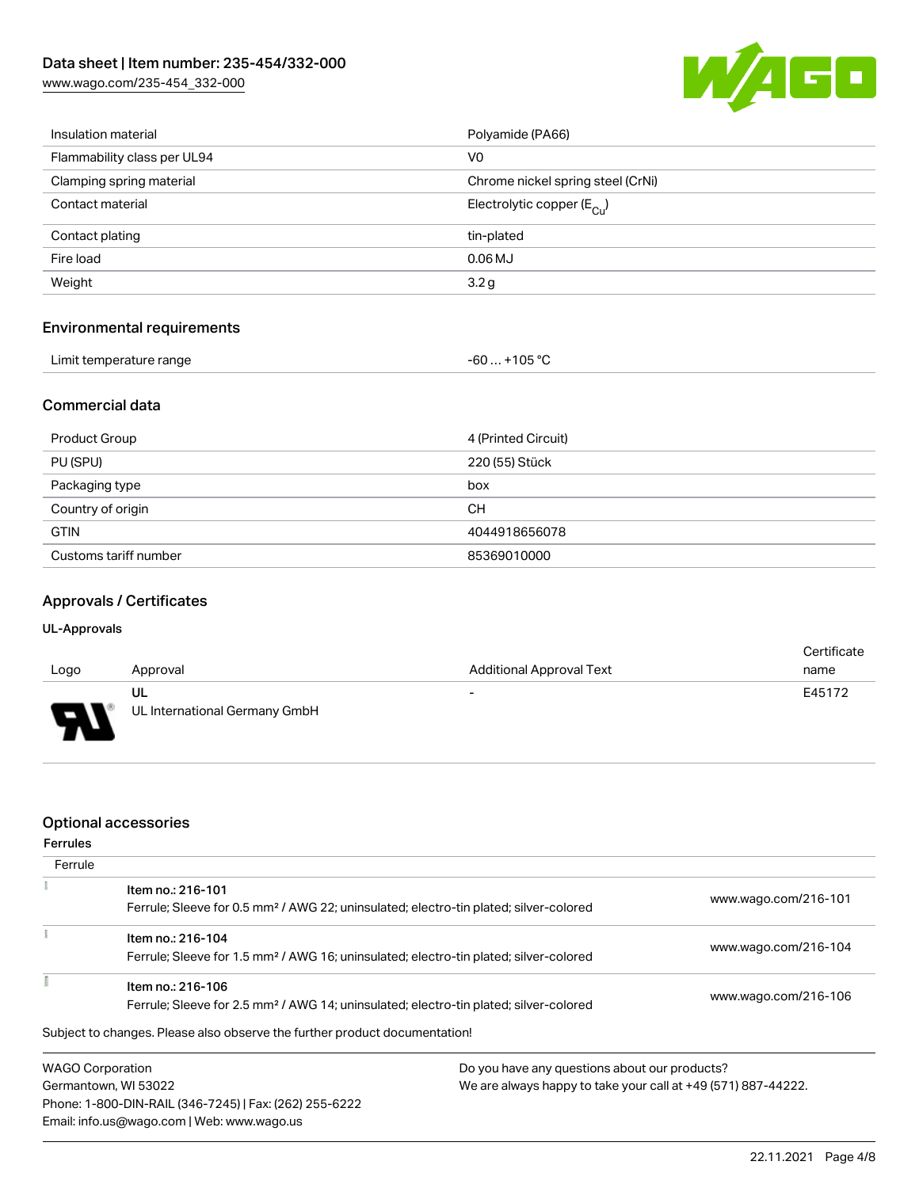[www.wago.com/235-454\\_332-000](http://www.wago.com/235-454_332-000)



| Insulation material               | Polyamide (PA66)                      |
|-----------------------------------|---------------------------------------|
| Flammability class per UL94       | V <sub>0</sub>                        |
| Clamping spring material          | Chrome nickel spring steel (CrNi)     |
| Contact material                  | Electrolytic copper $(E_{\text{Cl}})$ |
| Contact plating                   | tin-plated                            |
| Fire load                         | $0.06$ MJ                             |
| Weight                            | 3.2 <sub>g</sub>                      |
| <b>Environmental requirements</b> |                                       |

| Limit temperature range | -60  +105 °C |
|-------------------------|--------------|
|-------------------------|--------------|

### Commercial data

| Product Group         | 4 (Printed Circuit) |
|-----------------------|---------------------|
| PU (SPU)              | 220 (55) Stück      |
| Packaging type        | box                 |
| Country of origin     | CH.                 |
| <b>GTIN</b>           | 4044918656078       |
| Customs tariff number | 85369010000         |

### Approvals / Certificates

#### UL-Approvals

| Logo     | Approval                            | <b>Additional Approval Text</b> | Certificate<br>name |
|----------|-------------------------------------|---------------------------------|---------------------|
| J<br>. . | UL<br>UL International Germany GmbH | $\overline{\phantom{0}}$        | E45172              |

#### Optional accessories

Phone: 1-800-DIN-RAIL (346-7245) | Fax: (262) 255-6222

Email: info.us@wago.com | Web: www.wago.us

| <b>Ferrules</b>         |                                                                                                   |                                               |                                                               |  |
|-------------------------|---------------------------------------------------------------------------------------------------|-----------------------------------------------|---------------------------------------------------------------|--|
| Ferrule                 |                                                                                                   |                                               |                                                               |  |
|                         | Item no.: 216-101                                                                                 |                                               | www.wago.com/216-101                                          |  |
|                         | Ferrule; Sleeve for 0.5 mm <sup>2</sup> / AWG 22; uninsulated; electro-tin plated; silver-colored |                                               |                                                               |  |
|                         | Item no.: 216-104                                                                                 |                                               |                                                               |  |
|                         | Ferrule; Sleeve for 1.5 mm <sup>2</sup> / AWG 16; uninsulated; electro-tin plated; silver-colored |                                               | www.wago.com/216-104                                          |  |
|                         | Item no.: 216-106                                                                                 |                                               |                                                               |  |
|                         | Ferrule; Sleeve for 2.5 mm <sup>2</sup> / AWG 14; uninsulated; electro-tin plated; silver-colored |                                               | www.wago.com/216-106                                          |  |
|                         | Subject to changes. Please also observe the further product documentation!                        |                                               |                                                               |  |
| <b>WAGO Corporation</b> |                                                                                                   | Do you have any questions about our products? |                                                               |  |
| Germantown, WI 53022    |                                                                                                   |                                               | We are always happy to take your call at +49 (571) 887-44222. |  |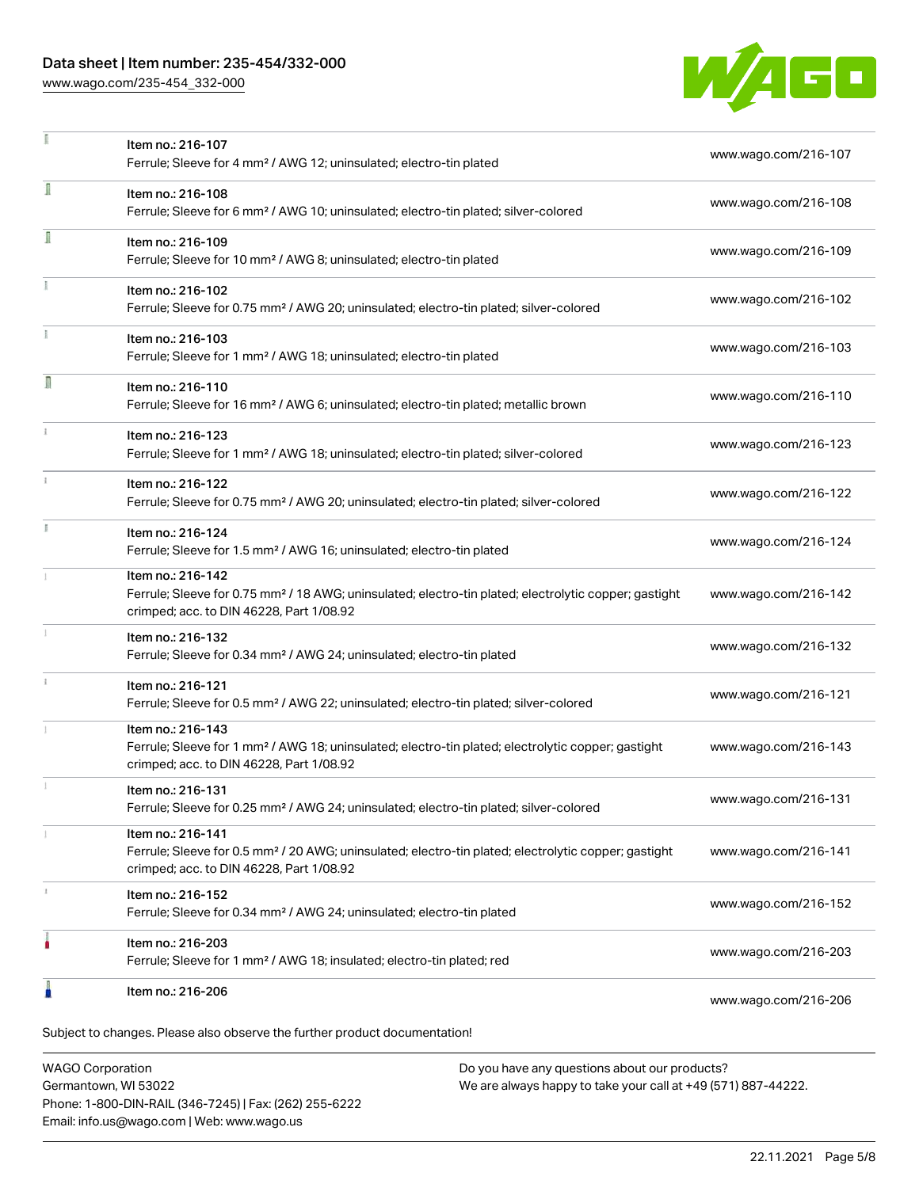### Data sheet | Item number: 235-454/332-000

[www.wago.com/235-454\\_332-000](http://www.wago.com/235-454_332-000)



|   | Item no.: 216-107<br>Ferrule; Sleeve for 4 mm <sup>2</sup> / AWG 12; uninsulated; electro-tin plated                                                                               | www.wago.com/216-107 |
|---|------------------------------------------------------------------------------------------------------------------------------------------------------------------------------------|----------------------|
| ī | Item no.: 216-108<br>Ferrule; Sleeve for 6 mm <sup>2</sup> / AWG 10; uninsulated; electro-tin plated; silver-colored                                                               | www.wago.com/216-108 |
| Ī | Item no.: 216-109<br>Ferrule; Sleeve for 10 mm <sup>2</sup> / AWG 8; uninsulated; electro-tin plated                                                                               | www.wago.com/216-109 |
|   | Item no.: 216-102<br>Ferrule; Sleeve for 0.75 mm <sup>2</sup> / AWG 20; uninsulated; electro-tin plated; silver-colored                                                            | www.wago.com/216-102 |
|   | Item no.: 216-103<br>Ferrule; Sleeve for 1 mm <sup>2</sup> / AWG 18; uninsulated; electro-tin plated                                                                               | www.wago.com/216-103 |
| Л | Item no.: 216-110<br>Ferrule; Sleeve for 16 mm <sup>2</sup> / AWG 6; uninsulated; electro-tin plated; metallic brown                                                               | www.wago.com/216-110 |
|   | Item no.: 216-123<br>Ferrule; Sleeve for 1 mm <sup>2</sup> / AWG 18; uninsulated; electro-tin plated; silver-colored                                                               | www.wago.com/216-123 |
|   | Item no.: 216-122<br>Ferrule; Sleeve for 0.75 mm <sup>2</sup> / AWG 20; uninsulated; electro-tin plated; silver-colored                                                            | www.wago.com/216-122 |
|   | Item no.: 216-124<br>Ferrule; Sleeve for 1.5 mm <sup>2</sup> / AWG 16; uninsulated; electro-tin plated                                                                             | www.wago.com/216-124 |
|   | Item no.: 216-142<br>Ferrule; Sleeve for 0.75 mm <sup>2</sup> / 18 AWG; uninsulated; electro-tin plated; electrolytic copper; gastight<br>crimped; acc. to DIN 46228, Part 1/08.92 | www.wago.com/216-142 |
|   | Item no.: 216-132<br>Ferrule; Sleeve for 0.34 mm <sup>2</sup> / AWG 24; uninsulated; electro-tin plated                                                                            | www.wago.com/216-132 |
|   | Item no.: 216-121<br>Ferrule; Sleeve for 0.5 mm <sup>2</sup> / AWG 22; uninsulated; electro-tin plated; silver-colored                                                             | www.wago.com/216-121 |
|   | Item no.: 216-143<br>Ferrule; Sleeve for 1 mm <sup>2</sup> / AWG 18; uninsulated; electro-tin plated; electrolytic copper; gastight<br>crimped; acc. to DIN 46228, Part 1/08.92    | www.wago.com/216-143 |
|   | Item no.: 216-131<br>Ferrule; Sleeve for 0.25 mm <sup>2</sup> / AWG 24; uninsulated; electro-tin plated; silver-colored                                                            | www.wago.com/216-131 |
|   | Item no.: 216-141<br>Ferrule; Sleeve for 0.5 mm <sup>2</sup> / 20 AWG; uninsulated; electro-tin plated; electrolytic copper; gastight<br>crimped; acc. to DIN 46228, Part 1/08.92  | www.wago.com/216-141 |
|   | Item no.: 216-152<br>Ferrule; Sleeve for 0.34 mm <sup>2</sup> / AWG 24; uninsulated; electro-tin plated                                                                            | www.wago.com/216-152 |
|   | Item no.: 216-203<br>Ferrule; Sleeve for 1 mm <sup>2</sup> / AWG 18; insulated; electro-tin plated; red                                                                            | www.wago.com/216-203 |
|   | Item no.: 216-206                                                                                                                                                                  | www.wago.com/216-206 |

WAGO Corporation Germantown, WI 53022 Phone: 1-800-DIN-RAIL (346-7245) | Fax: (262) 255-6222 Email: info.us@wago.com | Web: www.wago.us

Do you have any questions about our products? We are always happy to take your call at +49 (571) 887-44222.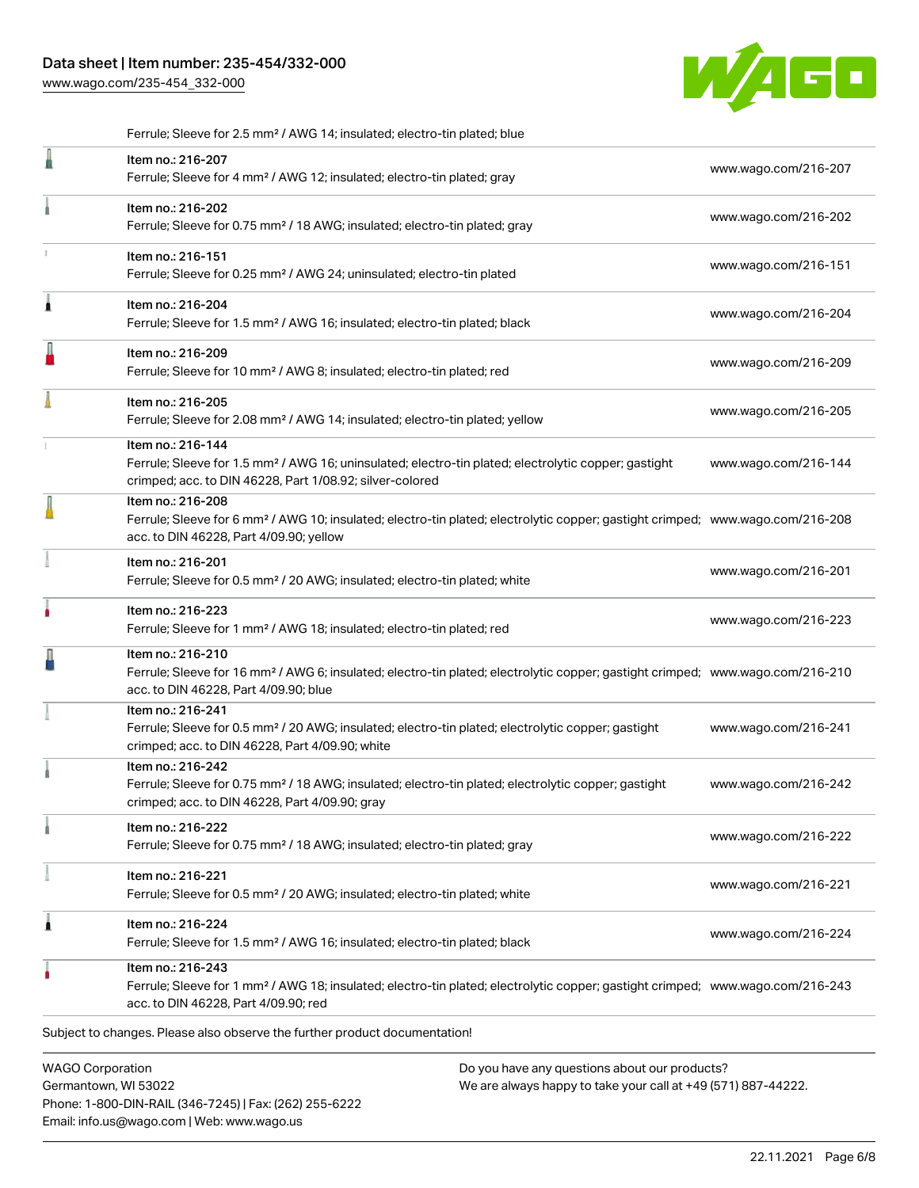[www.wago.com/235-454\\_332-000](http://www.wago.com/235-454_332-000)



|   | Ferrule; Sleeve for 2.5 mm <sup>2</sup> / AWG 14; insulated; electro-tin plated; blue                                                                                                                      |                      |
|---|------------------------------------------------------------------------------------------------------------------------------------------------------------------------------------------------------------|----------------------|
|   | Item no.: 216-207<br>Ferrule; Sleeve for 4 mm <sup>2</sup> / AWG 12; insulated; electro-tin plated; gray                                                                                                   | www.wago.com/216-207 |
|   | Item no.: 216-202<br>Ferrule; Sleeve for 0.75 mm <sup>2</sup> / 18 AWG; insulated; electro-tin plated; gray                                                                                                | www.wago.com/216-202 |
|   | Item no.: 216-151<br>Ferrule; Sleeve for 0.25 mm <sup>2</sup> / AWG 24; uninsulated; electro-tin plated                                                                                                    | www.wago.com/216-151 |
| Â | Item no.: 216-204<br>Ferrule; Sleeve for 1.5 mm <sup>2</sup> / AWG 16; insulated; electro-tin plated; black                                                                                                | www.wago.com/216-204 |
| I | Item no.: 216-209<br>Ferrule; Sleeve for 10 mm <sup>2</sup> / AWG 8; insulated; electro-tin plated; red                                                                                                    | www.wago.com/216-209 |
|   | Item no.: 216-205<br>Ferrule; Sleeve for 2.08 mm <sup>2</sup> / AWG 14; insulated; electro-tin plated; yellow                                                                                              | www.wago.com/216-205 |
|   | Item no.: 216-144<br>Ferrule; Sleeve for 1.5 mm <sup>2</sup> / AWG 16; uninsulated; electro-tin plated; electrolytic copper; gastight<br>crimped; acc. to DIN 46228, Part 1/08.92; silver-colored          | www.wago.com/216-144 |
|   | Item no.: 216-208<br>Ferrule; Sleeve for 6 mm <sup>2</sup> / AWG 10; insulated; electro-tin plated; electrolytic copper; gastight crimped; www.wago.com/216-208<br>acc. to DIN 46228, Part 4/09.90; yellow |                      |
|   | Item no.: 216-201<br>Ferrule; Sleeve for 0.5 mm <sup>2</sup> / 20 AWG; insulated; electro-tin plated; white                                                                                                | www.wago.com/216-201 |
| ۸ | Item no.: 216-223<br>Ferrule; Sleeve for 1 mm <sup>2</sup> / AWG 18; insulated; electro-tin plated; red                                                                                                    | www.wago.com/216-223 |
|   | Item no.: 216-210<br>Ferrule; Sleeve for 16 mm <sup>2</sup> / AWG 6; insulated; electro-tin plated; electrolytic copper; gastight crimped; www.wago.com/216-210<br>acc. to DIN 46228, Part 4/09.90; blue   |                      |
|   | Item no.: 216-241<br>Ferrule; Sleeve for 0.5 mm <sup>2</sup> / 20 AWG; insulated; electro-tin plated; electrolytic copper; gastight<br>crimped; acc. to DIN 46228, Part 4/09.90; white                     | www.wago.com/216-241 |
|   | Item no.: 216-242<br>Ferrule; Sleeve for 0.75 mm <sup>2</sup> / 18 AWG; insulated; electro-tin plated; electrolytic copper; gastight<br>crimped; acc. to DIN 46228, Part 4/09.90; gray                     | www.wago.com/216-242 |
|   | Item no.: 216-222<br>Ferrule; Sleeve for 0.75 mm <sup>2</sup> / 18 AWG; insulated; electro-tin plated; gray                                                                                                | www.wago.com/216-222 |
|   | Item no.: 216-221<br>Ferrule; Sleeve for 0.5 mm <sup>2</sup> / 20 AWG; insulated; electro-tin plated; white                                                                                                | www.wago.com/216-221 |
| 1 | Item no.: 216-224<br>Ferrule; Sleeve for 1.5 mm <sup>2</sup> / AWG 16; insulated; electro-tin plated; black                                                                                                | www.wago.com/216-224 |
|   | Item no.: 216-243<br>Ferrule; Sleeve for 1 mm <sup>2</sup> / AWG 18; insulated; electro-tin plated; electrolytic copper; gastight crimped; www.wago.com/216-243<br>acc. to DIN 46228, Part 4/09.90; red    |                      |
|   | Subject to changes. Please also observe the further product documentation!                                                                                                                                 |                      |
|   | <b>WAGO Corporation</b><br>Do you have any questions about our products?                                                                                                                                   |                      |

Germantown, WI 53022 Phone: 1-800-DIN-RAIL (346-7245) | Fax: (262) 255-6222 Email: info.us@wago.com | Web: www.wago.us

Do you have any questions about our products? We are always happy to take your call at +49 (571) 887-44222.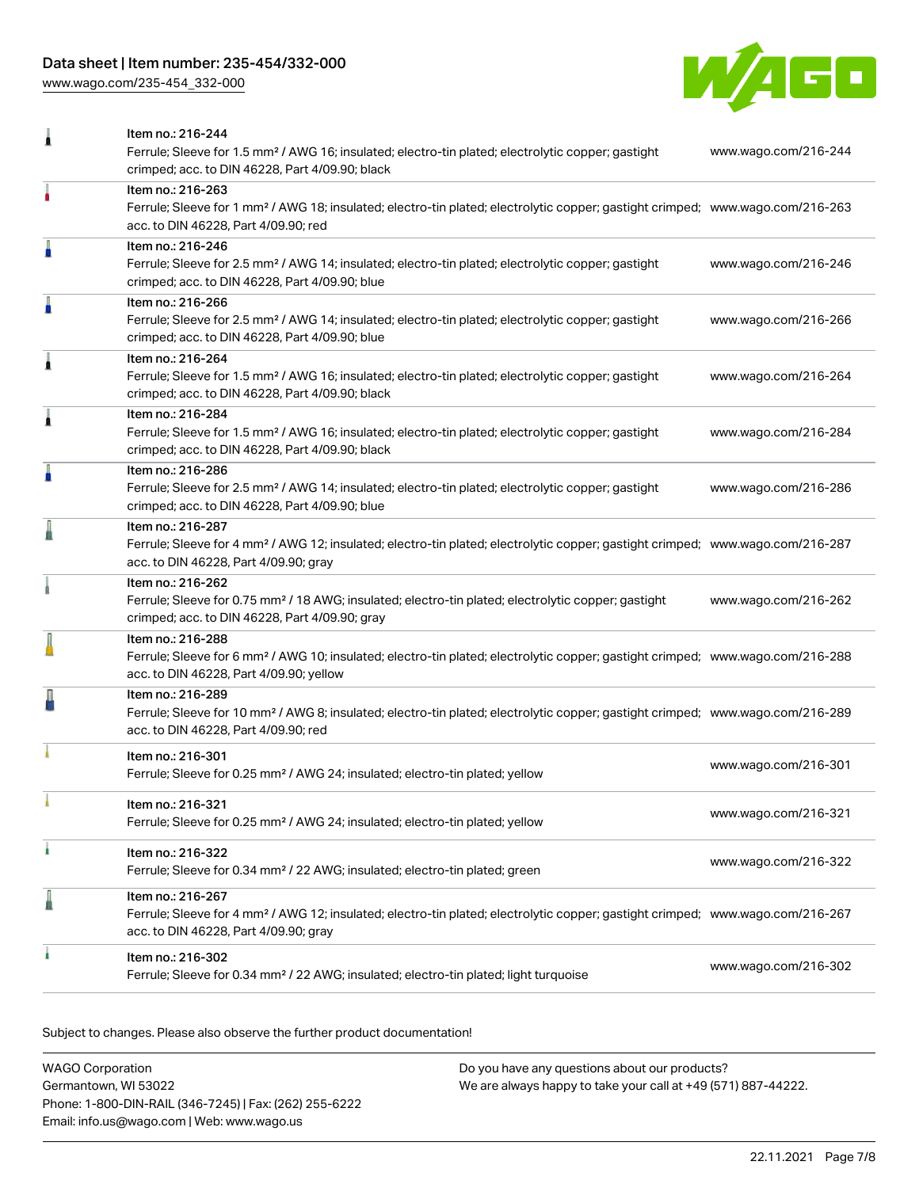# Data sheet | Item number: 235-454/332-000

[www.wago.com/235-454\\_332-000](http://www.wago.com/235-454_332-000)



| 1 | Item no.: 216-244                                                                                                                                                                                          |                      |
|---|------------------------------------------------------------------------------------------------------------------------------------------------------------------------------------------------------------|----------------------|
|   | Ferrule; Sleeve for 1.5 mm <sup>2</sup> / AWG 16; insulated; electro-tin plated; electrolytic copper; gastight<br>crimped; acc. to DIN 46228, Part 4/09.90; black                                          | www.wago.com/216-244 |
| ٠ | Item no.: 216-263<br>Ferrule; Sleeve for 1 mm <sup>2</sup> / AWG 18; insulated; electro-tin plated; electrolytic copper; gastight crimped; www.wago.com/216-263<br>acc. to DIN 46228, Part 4/09.90; red    |                      |
| I | Item no.: 216-246<br>Ferrule; Sleeve for 2.5 mm <sup>2</sup> / AWG 14; insulated; electro-tin plated; electrolytic copper; gastight<br>crimped; acc. to DIN 46228, Part 4/09.90; blue                      | www.wago.com/216-246 |
| Å | Item no.: 216-266<br>Ferrule; Sleeve for 2.5 mm <sup>2</sup> / AWG 14; insulated; electro-tin plated; electrolytic copper; gastight<br>crimped; acc. to DIN 46228, Part 4/09.90; blue                      | www.wago.com/216-266 |
| 1 | Item no.: 216-264<br>Ferrule; Sleeve for 1.5 mm <sup>2</sup> / AWG 16; insulated; electro-tin plated; electrolytic copper; gastight<br>crimped; acc. to DIN 46228, Part 4/09.90; black                     | www.wago.com/216-264 |
| Â | Item no.: 216-284<br>Ferrule; Sleeve for 1.5 mm <sup>2</sup> / AWG 16; insulated; electro-tin plated; electrolytic copper; gastight<br>crimped; acc. to DIN 46228, Part 4/09.90; black                     | www.wago.com/216-284 |
| A | Item no.: 216-286<br>Ferrule; Sleeve for 2.5 mm <sup>2</sup> / AWG 14; insulated; electro-tin plated; electrolytic copper; gastight<br>crimped; acc. to DIN 46228, Part 4/09.90; blue                      | www.wago.com/216-286 |
|   | Item no.: 216-287<br>Ferrule; Sleeve for 4 mm <sup>2</sup> / AWG 12; insulated; electro-tin plated; electrolytic copper; gastight crimped; www.wago.com/216-287<br>acc. to DIN 46228, Part 4/09.90; gray   |                      |
|   | Item no.: 216-262<br>Ferrule; Sleeve for 0.75 mm <sup>2</sup> / 18 AWG; insulated; electro-tin plated; electrolytic copper; gastight<br>crimped; acc. to DIN 46228, Part 4/09.90; gray                     | www.wago.com/216-262 |
|   | Item no.: 216-288<br>Ferrule; Sleeve for 6 mm <sup>2</sup> / AWG 10; insulated; electro-tin plated; electrolytic copper; gastight crimped; www.wago.com/216-288<br>acc. to DIN 46228, Part 4/09.90; yellow |                      |
|   | Item no.: 216-289<br>Ferrule; Sleeve for 10 mm <sup>2</sup> / AWG 8; insulated; electro-tin plated; electrolytic copper; gastight crimped; www.wago.com/216-289<br>acc. to DIN 46228, Part 4/09.90; red    |                      |
|   | Item no.: 216-301<br>Ferrule; Sleeve for 0.25 mm <sup>2</sup> / AWG 24; insulated; electro-tin plated; yellow                                                                                              | www.wago.com/216-301 |
|   | Item no.: 216-321<br>Ferrule; Sleeve for 0.25 mm <sup>2</sup> / AWG 24; insulated; electro-tin plated; yellow                                                                                              | www.wago.com/216-321 |
| ł | Item no.: 216-322<br>Ferrule; Sleeve for 0.34 mm <sup>2</sup> / 22 AWG; insulated; electro-tin plated; green                                                                                               | www.wago.com/216-322 |
| ≞ | Item no.: 216-267<br>Ferrule; Sleeve for 4 mm <sup>2</sup> / AWG 12; insulated; electro-tin plated; electrolytic copper; gastight crimped; www.wago.com/216-267<br>acc. to DIN 46228, Part 4/09.90; gray   |                      |
|   | Item no.: 216-302<br>Ferrule; Sleeve for 0.34 mm <sup>2</sup> / 22 AWG; insulated; electro-tin plated; light turquoise                                                                                     | www.wago.com/216-302 |

Subject to changes. Please also observe the further product documentation!

| WAGO Corporation                                       | Do you have any questions about our products?                 |
|--------------------------------------------------------|---------------------------------------------------------------|
| Germantown, WI 53022                                   | We are always happy to take your call at +49 (571) 887-44222. |
| Phone: 1-800-DIN-RAIL (346-7245)   Fax: (262) 255-6222 |                                                               |
| Email: info.us@wago.com   Web: www.wago.us             |                                                               |